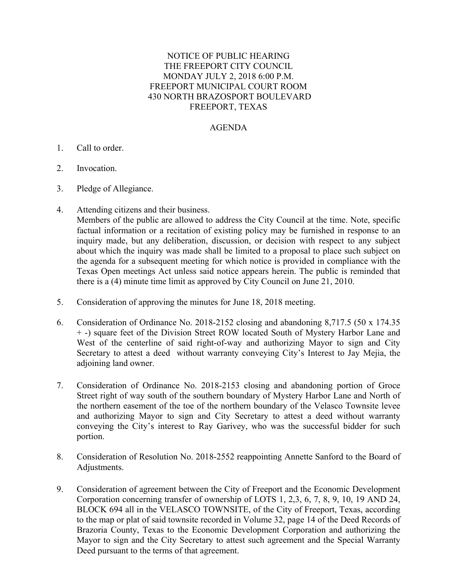## NOTICE OF PUBLIC HEARING THE FREEPORT CITY COUNCIL MONDAY JULY 2, 2018 6:00 P.M. FREEPORT MUNICIPAL COURT ROOM 430 NORTH BRAZOSPORT BOULEVARD FREEPORT, TEXAS

## AGENDA

- 1. Call to order.
- 2. Invocation.
- 3. Pledge of Allegiance.
- 4. Attending citizens and their business.

 Members of the public are allowed to address the City Council at the time. Note, specific factual information or a recitation of existing policy may be furnished in response to an inquiry made, but any deliberation, discussion, or decision with respect to any subject about which the inquiry was made shall be limited to a proposal to place such subject on the agenda for a subsequent meeting for which notice is provided in compliance with the Texas Open meetings Act unless said notice appears herein. The public is reminded that there is a (4) minute time limit as approved by City Council on June 21, 2010.

- 5. Consideration of approving the minutes for June 18, 2018 meeting.
- 6. Consideration of Ordinance No. 2018-2152 closing and abandoning 8,717.5 (50 x 174.35 + -) square feet of the Division Street ROW located South of Mystery Harbor Lane and West of the centerline of said right-of-way and authorizing Mayor to sign and City Secretary to attest a deed without warranty conveying City's Interest to Jay Mejia, the adjoining land owner.
- 7. Consideration of Ordinance No. 2018-2153 closing and abandoning portion of Groce Street right of way south of the southern boundary of Mystery Harbor Lane and North of the northern easement of the toe of the northern boundary of the Velasco Townsite levee and authorizing Mayor to sign and City Secretary to attest a deed without warranty conveying the City's interest to Ray Garivey, who was the successful bidder for such portion.
- 8. Consideration of Resolution No. 2018-2552 reappointing Annette Sanford to the Board of Adjustments.
- 9. Consideration of agreement between the City of Freeport and the Economic Development Corporation concerning transfer of ownership of LOTS 1, 2,3, 6, 7, 8, 9, 10, 19 AND 24, BLOCK 694 all in the VELASCO TOWNSITE, of the City of Freeport, Texas, according to the map or plat of said townsite recorded in Volume 32, page 14 of the Deed Records of Brazoria County, Texas to the Economic Development Corporation and authorizing the Mayor to sign and the City Secretary to attest such agreement and the Special Warranty Deed pursuant to the terms of that agreement.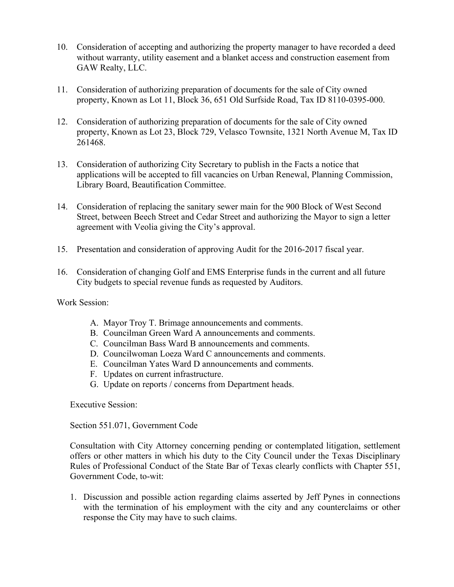- 10. Consideration of accepting and authorizing the property manager to have recorded a deed without warranty, utility easement and a blanket access and construction easement from GAW Realty, LLC.
- 11. Consideration of authorizing preparation of documents for the sale of City owned property, Known as Lot 11, Block 36, 651 Old Surfside Road, Tax ID 8110-0395-000.
- 12. Consideration of authorizing preparation of documents for the sale of City owned property, Known as Lot 23, Block 729, Velasco Townsite, 1321 North Avenue M, Tax ID 261468.
- 13. Consideration of authorizing City Secretary to publish in the Facts a notice that applications will be accepted to fill vacancies on Urban Renewal, Planning Commission, Library Board, Beautification Committee.
- 14. Consideration of replacing the sanitary sewer main for the 900 Block of West Second Street, between Beech Street and Cedar Street and authorizing the Mayor to sign a letter agreement with Veolia giving the City's approval.
- 15. Presentation and consideration of approving Audit for the 2016-2017 fiscal year.
- 16. Consideration of changing Golf and EMS Enterprise funds in the current and all future City budgets to special revenue funds as requested by Auditors.

Work Session:

- A. Mayor Troy T. Brimage announcements and comments.
- B. Councilman Green Ward A announcements and comments.
- C. Councilman Bass Ward B announcements and comments.
- D. Councilwoman Loeza Ward C announcements and comments.
- E. Councilman Yates Ward D announcements and comments.
- F. Updates on current infrastructure.
- G. Update on reports / concerns from Department heads.

Executive Session:

Section 551.071, Government Code

Consultation with City Attorney concerning pending or contemplated litigation, settlement offers or other matters in which his duty to the City Council under the Texas Disciplinary Rules of Professional Conduct of the State Bar of Texas clearly conflicts with Chapter 551, Government Code, to-wit:

1. Discussion and possible action regarding claims asserted by Jeff Pynes in connections with the termination of his employment with the city and any counterclaims or other response the City may have to such claims.